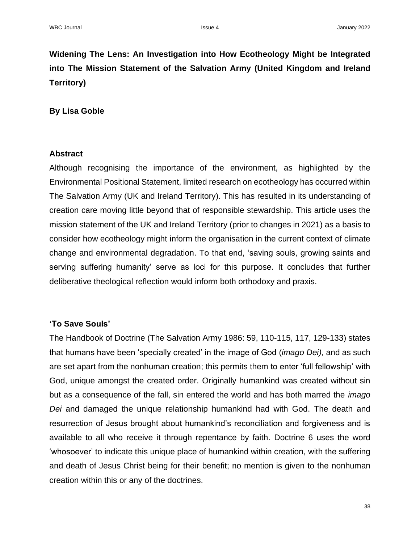**Widening The Lens: An Investigation into How Ecotheology Might be Integrated into The Mission Statement of the Salvation Army (United Kingdom and Ireland Territory)**

#### **By Lisa Goble**

#### **Abstract**

Although recognising the importance of the environment, as highlighted by the Environmental Positional Statement, limited research on ecotheology has occurred within The Salvation Army (UK and Ireland Territory). This has resulted in its understanding of creation care moving little beyond that of responsible stewardship. This article uses the mission statement of the UK and Ireland Territory (prior to changes in 2021) as a basis to consider how ecotheology might inform the organisation in the current context of climate change and environmental degradation. To that end, 'saving souls, growing saints and serving suffering humanity' serve as loci for this purpose. It concludes that further deliberative theological reflection would inform both orthodoxy and praxis.

## **'To Save Souls'**

The Handbook of Doctrine (The Salvation Army 1986: 59, 110-115, 117, 129-133) states that humans have been 'specially created' in the image of God (*imago Dei),* and as such are set apart from the nonhuman creation; this permits them to enter 'full fellowship' with God, unique amongst the created order. Originally humankind was created without sin but as a consequence of the fall, sin entered the world and has both marred the *imago Dei* and damaged the unique relationship humankind had with God. The death and resurrection of Jesus brought about humankind's reconciliation and forgiveness and is available to all who receive it through repentance by faith. Doctrine 6 uses the word 'whosoever' to indicate this unique place of humankind within creation, with the suffering and death of Jesus Christ being for their benefit; no mention is given to the nonhuman creation within this or any of the doctrines.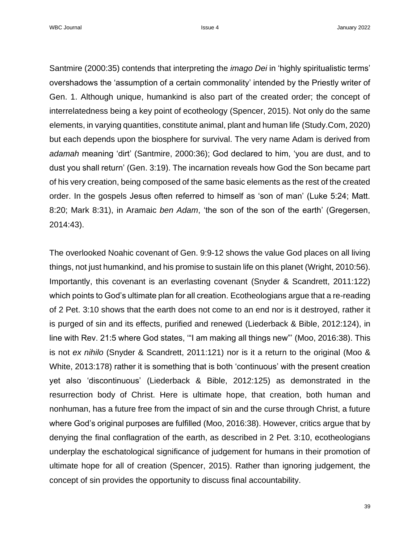Santmire (2000:35) contends that interpreting the *imago Dei* in 'highly spiritualistic terms' overshadows the 'assumption of a certain commonality' intended by the Priestly writer of Gen. 1. Although unique, humankind is also part of the created order; the concept of interrelatedness being a key point of ecotheology (Spencer, 2015). Not only do the same elements, in varying quantities, constitute animal, plant and human life (Study.Com, 2020) but each depends upon the biosphere for survival. The very name Adam is derived from *adamah* meaning 'dirt' (Santmire, 2000:36); God declared to him, 'you are dust, and to dust you shall return' (Gen. 3:19). The incarnation reveals how God the Son became part of his very creation, being composed of the same basic elements as the rest of the created order. In the gospels Jesus often referred to himself as 'son of man' (Luke 5:24; Matt. 8:20; Mark 8:31), in Aramaic *ben Adam*, 'the son of the son of the earth' (Gregersen, 2014:43).

The overlooked Noahic covenant of Gen. 9:9-12 shows the value God places on all living things, not just humankind, and his promise to sustain life on this planet (Wright, 2010:56). Importantly, this covenant is an everlasting covenant (Snyder & Scandrett, 2011:122) which points to God's ultimate plan for all creation. Ecotheologians argue that a re-reading of 2 Pet. 3:10 shows that the earth does not come to an end nor is it destroyed, rather it is purged of sin and its effects, purified and renewed (Liederback & Bible, 2012:124), in line with Rev. 21:5 where God states, '"I am making all things new"' (Moo, 2016:38). This is not *ex nihilo* (Snyder & Scandrett, 2011:121) nor is it a return to the original (Moo & White, 2013:178) rather it is something that is both 'continuous' with the present creation yet also 'discontinuous' (Liederback & Bible, 2012:125) as demonstrated in the resurrection body of Christ. Here is ultimate hope, that creation, both human and nonhuman, has a future free from the impact of sin and the curse through Christ, a future where God's original purposes are fulfilled (Moo, 2016:38). However, critics argue that by denying the final conflagration of the earth, as described in 2 Pet. 3:10, ecotheologians underplay the eschatological significance of judgement for humans in their promotion of ultimate hope for all of creation (Spencer, 2015). Rather than ignoring judgement, the concept of sin provides the opportunity to discuss final accountability.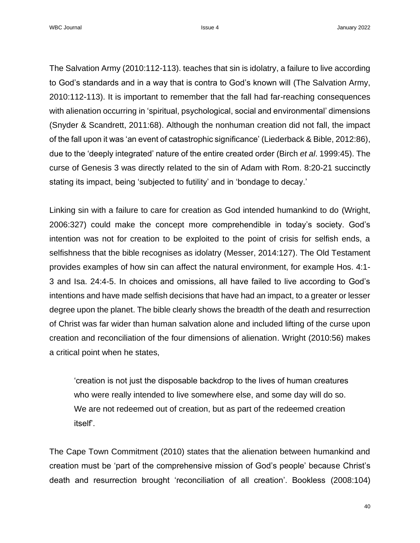WBC Journal **Issue 4** January 2022

The Salvation Army (2010:112-113). teaches that sin is idolatry, a failure to live according to God's standards and in a way that is contra to God's known will (The Salvation Army, 2010:112-113). It is important to remember that the fall had far-reaching consequences with alienation occurring in 'spiritual, psychological, social and environmental' dimensions (Snyder & Scandrett, 2011:68). Although the nonhuman creation did not fall, the impact of the fall upon it was 'an event of catastrophic significance' (Liederback & Bible, 2012:86), due to the 'deeply integrated' nature of the entire created order (Birch *et al*. 1999:45). The curse of Genesis 3 was directly related to the sin of Adam with Rom. 8:20-21 succinctly stating its impact, being 'subjected to futility' and in 'bondage to decay.'

Linking sin with a failure to care for creation as God intended humankind to do (Wright, 2006:327) could make the concept more comprehendible in today's society. God's intention was not for creation to be exploited to the point of crisis for selfish ends, a selfishness that the bible recognises as idolatry (Messer, 2014:127). The Old Testament provides examples of how sin can affect the natural environment, for example Hos. 4:1- 3 and Isa. 24:4-5. In choices and omissions, all have failed to live according to God's intentions and have made selfish decisions that have had an impact, to a greater or lesser degree upon the planet. The bible clearly shows the breadth of the death and resurrection of Christ was far wider than human salvation alone and included lifting of the curse upon creation and reconciliation of the four dimensions of alienation. Wright (2010:56) makes a critical point when he states,

'creation is not just the disposable backdrop to the lives of human creatures who were really intended to live somewhere else, and some day will do so. We are not redeemed out of creation, but as part of the redeemed creation itself'.

The Cape Town Commitment (2010) states that the alienation between humankind and creation must be 'part of the comprehensive mission of God's people' because Christ's death and resurrection brought 'reconciliation of all creation'. Bookless (2008:104)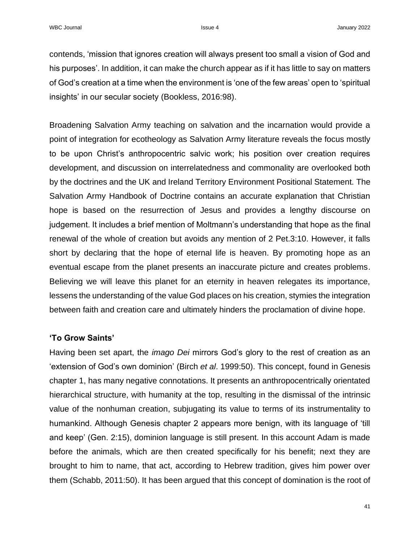contends, 'mission that ignores creation will always present too small a vision of God and his purposes'. In addition, it can make the church appear as if it has little to say on matters of God's creation at a time when the environment is 'one of the few areas' open to 'spiritual insights' in our secular society (Bookless, 2016:98).

Broadening Salvation Army teaching on salvation and the incarnation would provide a point of integration for ecotheology as Salvation Army literature reveals the focus mostly to be upon Christ's anthropocentric salvic work; his position over creation requires development, and discussion on interrelatedness and commonality are overlooked both by the doctrines and the UK and Ireland Territory Environment Positional Statement. The Salvation Army Handbook of Doctrine contains an accurate explanation that Christian hope is based on the resurrection of Jesus and provides a lengthy discourse on judgement. It includes a brief mention of Moltmann's understanding that hope as the final renewal of the whole of creation but avoids any mention of 2 Pet.3:10. However, it falls short by declaring that the hope of eternal life is heaven. By promoting hope as an eventual escape from the planet presents an inaccurate picture and creates problems. Believing we will leave this planet for an eternity in heaven relegates its importance, lessens the understanding of the value God places on his creation, stymies the integration between faith and creation care and ultimately hinders the proclamation of divine hope.

## **'To Grow Saints'**

Having been set apart, the *imago Dei* mirrors God's glory to the rest of creation as an 'extension of God's own dominion' (Birch *et al*. 1999:50). This concept, found in Genesis chapter 1, has many negative connotations. It presents an anthropocentrically orientated hierarchical structure, with humanity at the top, resulting in the dismissal of the intrinsic value of the nonhuman creation, subjugating its value to terms of its instrumentality to humankind. Although Genesis chapter 2 appears more benign, with its language of 'till and keep' (Gen. 2:15), dominion language is still present. In this account Adam is made before the animals, which are then created specifically for his benefit; next they are brought to him to name, that act, according to Hebrew tradition, gives him power over them (Schabb, 2011:50). It has been argued that this concept of domination is the root of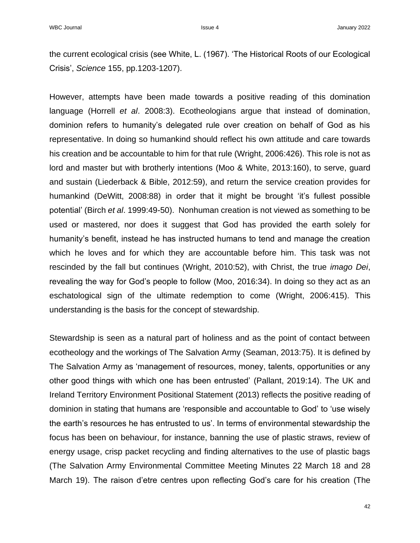the current ecological crisis (see White, L. (1967). 'The Historical Roots of our Ecological Crisis', *Science* 155, pp.1203-1207).

However, attempts have been made towards a positive reading of this domination language (Horrell *et al*. 2008:3). Ecotheologians argue that instead of domination, dominion refers to humanity's delegated rule over creation on behalf of God as his representative. In doing so humankind should reflect his own attitude and care towards his creation and be accountable to him for that rule (Wright, 2006:426). This role is not as lord and master but with brotherly intentions (Moo & White, 2013:160), to serve, guard and sustain (Liederback & Bible, 2012:59), and return the service creation provides for humankind (DeWitt, 2008:88) in order that it might be brought 'it's fullest possible potential' (Birch *et al*. 1999:49-50). Nonhuman creation is not viewed as something to be used or mastered, nor does it suggest that God has provided the earth solely for humanity's benefit, instead he has instructed humans to tend and manage the creation which he loves and for which they are accountable before him. This task was not rescinded by the fall but continues (Wright, 2010:52), with Christ, the true *imago Dei*, revealing the way for God's people to follow (Moo, 2016:34). In doing so they act as an eschatological sign of the ultimate redemption to come (Wright, 2006:415). This understanding is the basis for the concept of stewardship.

Stewardship is seen as a natural part of holiness and as the point of contact between ecotheology and the workings of The Salvation Army (Seaman, 2013:75). It is defined by The Salvation Army as 'management of resources, money, talents, opportunities or any other good things with which one has been entrusted' (Pallant, 2019:14). The UK and Ireland Territory Environment Positional Statement (2013) reflects the positive reading of dominion in stating that humans are 'responsible and accountable to God' to 'use wisely the earth's resources he has entrusted to us'. In terms of environmental stewardship the focus has been on behaviour, for instance, banning the use of plastic straws, review of energy usage, crisp packet recycling and finding alternatives to the use of plastic bags (The Salvation Army Environmental Committee Meeting Minutes 22 March 18 and 28 March 19). The raison d'etre centres upon reflecting God's care for his creation (The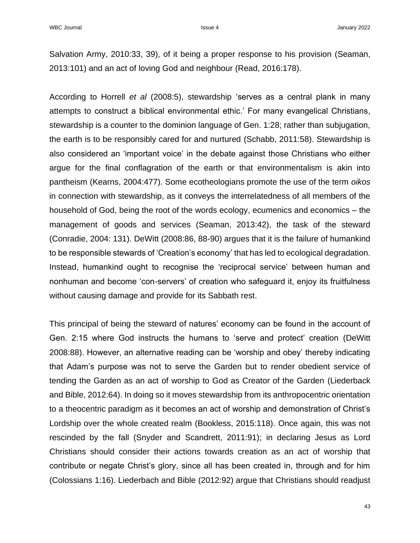Salvation Army, 2010:33, 39), of it being a proper response to his provision (Seaman, 2013:101) and an act of loving God and neighbour (Read, 2016:178).

According to Horrell *et al* (2008:5), stewardship 'serves as a central plank in many attempts to construct a biblical environmental ethic.' For many evangelical Christians, stewardship is a counter to the dominion language of Gen. 1:28; rather than subjugation, the earth is to be responsibly cared for and nurtured (Schabb, 2011:58). Stewardship is also considered an 'important voice' in the debate against those Christians who either argue for the final conflagration of the earth or that environmentalism is akin into pantheism (Kearns, 2004:477). Some ecotheologians promote the use of the term *oikos* in connection with stewardship, as it conveys the interrelatedness of all members of the household of God, being the root of the words ecology, ecumenics and economics – the management of goods and services (Seaman, 2013:42), the task of the steward (Conradie, 2004: 131). DeWitt (2008:86, 88-90) argues that it is the failure of humankind to be responsible stewards of 'Creation's economy' that has led to ecological degradation. Instead, humankind ought to recognise the 'reciprocal service' between human and nonhuman and become 'con-servers' of creation who safeguard it, enjoy its fruitfulness without causing damage and provide for its Sabbath rest.

This principal of being the steward of natures' economy can be found in the account of Gen. 2:15 where God instructs the humans to 'serve and protect' creation (DeWitt 2008:88). However, an alternative reading can be 'worship and obey' thereby indicating that Adam's purpose was not to serve the Garden but to render obedient service of tending the Garden as an act of worship to God as Creator of the Garden (Liederback and Bible, 2012:64). In doing so it moves stewardship from its anthropocentric orientation to a theocentric paradigm as it becomes an act of worship and demonstration of Christ's Lordship over the whole created realm (Bookless, 2015:118). Once again, this was not rescinded by the fall (Snyder and Scandrett, 2011:91); in declaring Jesus as Lord Christians should consider their actions towards creation as an act of worship that contribute or negate Christ's glory, since all has been created in, through and for him (Colossians 1:16). Liederbach and Bible (2012:92) argue that Christians should readjust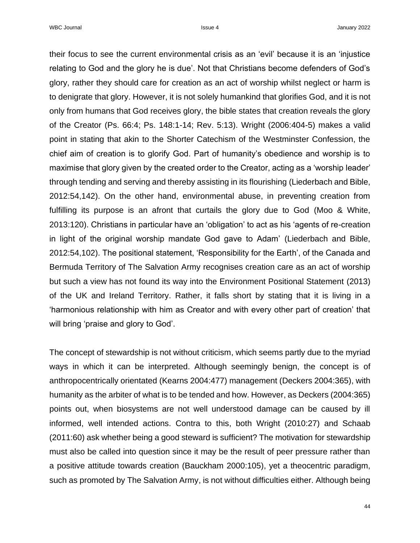WBC Journal **Issue 4** January 2022

their focus to see the current environmental crisis as an 'evil' because it is an 'injustice relating to God and the glory he is due'. Not that Christians become defenders of God's glory, rather they should care for creation as an act of worship whilst neglect or harm is to denigrate that glory. However, it is not solely humankind that glorifies God, and it is not only from humans that God receives glory, the bible states that creation reveals the glory of the Creator (Ps. 66:4; Ps. 148:1-14; Rev. 5:13). Wright (2006:404-5) makes a valid point in stating that akin to the Shorter Catechism of the Westminster Confession, the chief aim of creation is to glorify God. Part of humanity's obedience and worship is to maximise that glory given by the created order to the Creator, acting as a 'worship leader' through tending and serving and thereby assisting in its flourishing (Liederbach and Bible, 2012:54,142). On the other hand, environmental abuse, in preventing creation from fulfilling its purpose is an afront that curtails the glory due to God (Moo & White, 2013:120). Christians in particular have an 'obligation' to act as his 'agents of re-creation in light of the original worship mandate God gave to Adam' (Liederbach and Bible, 2012:54,102). The positional statement, 'Responsibility for the Earth', of the Canada and Bermuda Territory of The Salvation Army recognises creation care as an act of worship but such a view has not found its way into the Environment Positional Statement (2013) of the UK and Ireland Territory. Rather, it falls short by stating that it is living in a 'harmonious relationship with him as Creator and with every other part of creation' that will bring 'praise and glory to God'.

The concept of stewardship is not without criticism, which seems partly due to the myriad ways in which it can be interpreted. Although seemingly benign, the concept is of anthropocentrically orientated (Kearns 2004:477) management (Deckers 2004:365), with humanity as the arbiter of what is to be tended and how. However, as Deckers (2004:365) points out, when biosystems are not well understood damage can be caused by ill informed, well intended actions. Contra to this, both Wright (2010:27) and Schaab (2011:60) ask whether being a good steward is sufficient? The motivation for stewardship must also be called into question since it may be the result of peer pressure rather than a positive attitude towards creation (Bauckham 2000:105), yet a theocentric paradigm, such as promoted by The Salvation Army, is not without difficulties either. Although being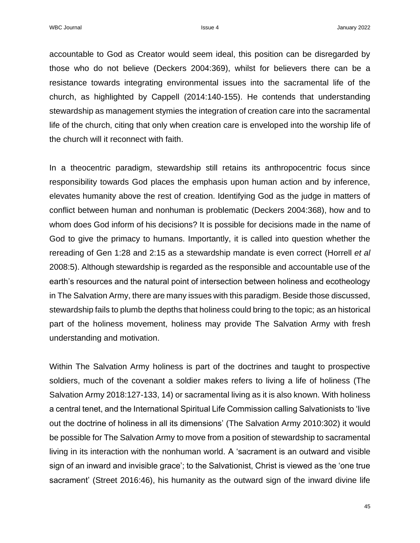accountable to God as Creator would seem ideal, this position can be disregarded by those who do not believe (Deckers 2004:369), whilst for believers there can be a resistance towards integrating environmental issues into the sacramental life of the church, as highlighted by Cappell (2014:140-155). He contends that understanding stewardship as management stymies the integration of creation care into the sacramental life of the church, citing that only when creation care is enveloped into the worship life of the church will it reconnect with faith.

In a theocentric paradigm, stewardship still retains its anthropocentric focus since responsibility towards God places the emphasis upon human action and by inference, elevates humanity above the rest of creation. Identifying God as the judge in matters of conflict between human and nonhuman is problematic (Deckers 2004:368), how and to whom does God inform of his decisions? It is possible for decisions made in the name of God to give the primacy to humans. Importantly, it is called into question whether the rereading of Gen 1:28 and 2:15 as a stewardship mandate is even correct (Horrell *et al*  2008:5). Although stewardship is regarded as the responsible and accountable use of the earth's resources and the natural point of intersection between holiness and ecotheology in The Salvation Army, there are many issues with this paradigm. Beside those discussed, stewardship fails to plumb the depths that holiness could bring to the topic; as an historical part of the holiness movement, holiness may provide The Salvation Army with fresh understanding and motivation.

Within The Salvation Army holiness is part of the doctrines and taught to prospective soldiers, much of the covenant a soldier makes refers to living a life of holiness (The Salvation Army 2018:127-133, 14) or sacramental living as it is also known. With holiness a central tenet, and the International Spiritual Life Commission calling Salvationists to 'live out the doctrine of holiness in all its dimensions' (The Salvation Army 2010:302) it would be possible for The Salvation Army to move from a position of stewardship to sacramental living in its interaction with the nonhuman world. A 'sacrament is an outward and visible sign of an inward and invisible grace'; to the Salvationist, Christ is viewed as the 'one true sacrament' (Street 2016:46), his humanity as the outward sign of the inward divine life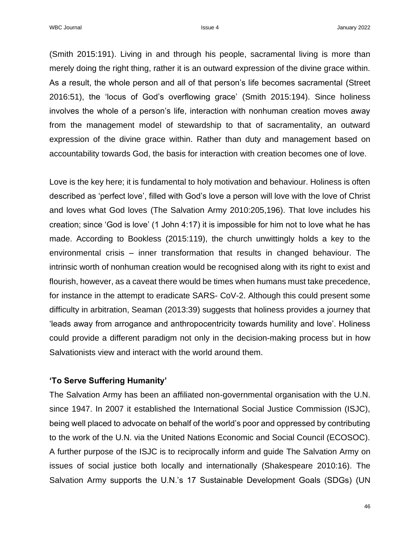(Smith 2015:191). Living in and through his people, sacramental living is more than merely doing the right thing, rather it is an outward expression of the divine grace within. As a result, the whole person and all of that person's life becomes sacramental (Street 2016:51), the 'locus of God's overflowing grace' (Smith 2015:194). Since holiness involves the whole of a person's life, interaction with nonhuman creation moves away from the management model of stewardship to that of sacramentality, an outward expression of the divine grace within. Rather than duty and management based on accountability towards God, the basis for interaction with creation becomes one of love.

Love is the key here; it is fundamental to holy motivation and behaviour. Holiness is often described as 'perfect love', filled with God's love a person will love with the love of Christ and loves what God loves (The Salvation Army 2010:205,196). That love includes his creation; since 'God is love' (1 John 4:17) it is impossible for him not to love what he has made. According to Bookless (2015:119), the church unwittingly holds a key to the environmental crisis – inner transformation that results in changed behaviour. The intrinsic worth of nonhuman creation would be recognised along with its right to exist and flourish, however, as a caveat there would be times when humans must take precedence, for instance in the attempt to eradicate SARS- CoV-2. Although this could present some difficulty in arbitration, Seaman (2013:39) suggests that holiness provides a journey that 'leads away from arrogance and anthropocentricity towards humility and love'. Holiness could provide a different paradigm not only in the decision-making process but in how Salvationists view and interact with the world around them.

## **'To Serve Suffering Humanity'**

The Salvation Army has been an affiliated non-governmental organisation with the U.N. since 1947. In 2007 it established the International Social Justice Commission (ISJC), being well placed to advocate on behalf of the world's poor and oppressed by contributing to the work of the U.N. via the United Nations Economic and Social Council (ECOSOC). A further purpose of the ISJC is to reciprocally inform and guide The Salvation Army on issues of social justice both locally and internationally (Shakespeare 2010:16). The Salvation Army supports the U.N.'s 17 Sustainable Development Goals (SDGs) (UN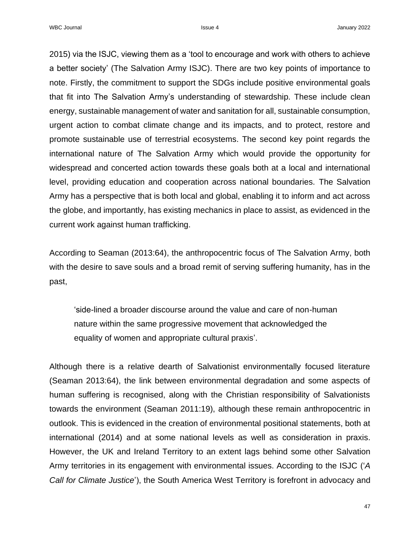2015) via the ISJC, viewing them as a 'tool to encourage and work with others to achieve a better society' (The Salvation Army ISJC). There are two key points of importance to note. Firstly, the commitment to support the SDGs include positive environmental goals that fit into The Salvation Army's understanding of stewardship. These include clean energy, sustainable management of water and sanitation for all, sustainable consumption, urgent action to combat climate change and its impacts, and to protect, restore and promote sustainable use of terrestrial ecosystems. The second key point regards the international nature of The Salvation Army which would provide the opportunity for widespread and concerted action towards these goals both at a local and international level, providing education and cooperation across national boundaries. The Salvation Army has a perspective that is both local and global, enabling it to inform and act across the globe, and importantly, has existing mechanics in place to assist, as evidenced in the current work against human trafficking.

According to Seaman (2013:64), the anthropocentric focus of The Salvation Army, both with the desire to save souls and a broad remit of serving suffering humanity, has in the past,

'side-lined a broader discourse around the value and care of non-human nature within the same progressive movement that acknowledged the equality of women and appropriate cultural praxis'.

Although there is a relative dearth of Salvationist environmentally focused literature (Seaman 2013:64), the link between environmental degradation and some aspects of human suffering is recognised, along with the Christian responsibility of Salvationists towards the environment (Seaman 2011:19), although these remain anthropocentric in outlook. This is evidenced in the creation of environmental positional statements, both at international (2014) and at some national levels as well as consideration in praxis. However, the UK and Ireland Territory to an extent lags behind some other Salvation Army territories in its engagement with environmental issues. According to the ISJC ('*A Call for Climate Justice*'), the South America West Territory is forefront in advocacy and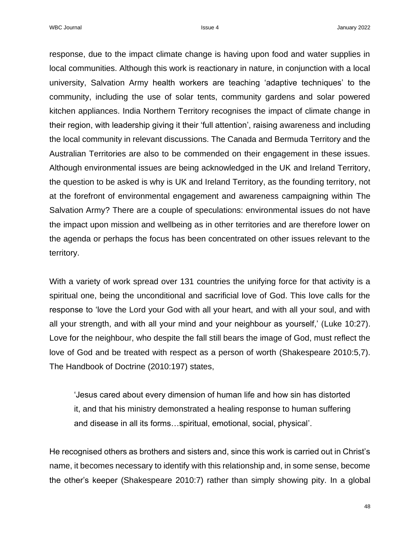WBC Journal **Issue 4** January 2022

response, due to the impact climate change is having upon food and water supplies in local communities. Although this work is reactionary in nature, in conjunction with a local university, Salvation Army health workers are teaching 'adaptive techniques' to the community, including the use of solar tents, community gardens and solar powered kitchen appliances. India Northern Territory recognises the impact of climate change in their region, with leadership giving it their 'full attention', raising awareness and including the local community in relevant discussions. The Canada and Bermuda Territory and the Australian Territories are also to be commended on their engagement in these issues. Although environmental issues are being acknowledged in the UK and Ireland Territory, the question to be asked is why is UK and Ireland Territory, as the founding territory, not at the forefront of environmental engagement and awareness campaigning within The Salvation Army? There are a couple of speculations: environmental issues do not have the impact upon mission and wellbeing as in other territories and are therefore lower on the agenda or perhaps the focus has been concentrated on other issues relevant to the territory.

With a variety of work spread over 131 countries the unifying force for that activity is a spiritual one, being the unconditional and sacrificial love of God. This love calls for the response to 'love the Lord your God with all your heart, and with all your soul, and with all your strength, and with all your mind and your neighbour as yourself,' (Luke 10:27). Love for the neighbour, who despite the fall still bears the image of God, must reflect the love of God and be treated with respect as a person of worth (Shakespeare 2010:5,7). The Handbook of Doctrine (2010:197) states,

'Jesus cared about every dimension of human life and how sin has distorted it, and that his ministry demonstrated a healing response to human suffering and disease in all its forms…spiritual, emotional, social, physical'.

He recognised others as brothers and sisters and, since this work is carried out in Christ's name, it becomes necessary to identify with this relationship and, in some sense, become the other's keeper (Shakespeare 2010:7) rather than simply showing pity. In a global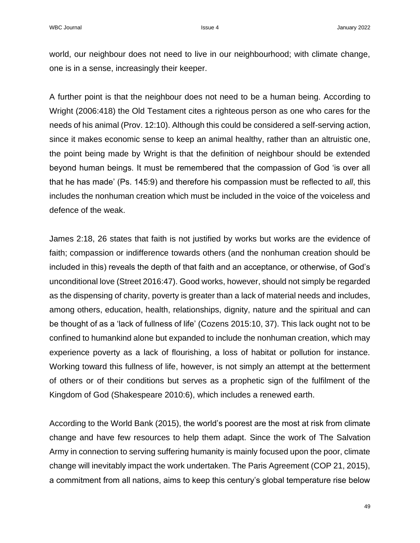world, our neighbour does not need to live in our neighbourhood; with climate change, one is in a sense, increasingly their keeper.

A further point is that the neighbour does not need to be a human being. According to Wright (2006:418) the Old Testament cites a righteous person as one who cares for the needs of his animal (Prov. 12:10). Although this could be considered a self-serving action, since it makes economic sense to keep an animal healthy, rather than an altruistic one, the point being made by Wright is that the definition of neighbour should be extended beyond human beings. It must be remembered that the compassion of God 'is over all that he has made' (Ps. 145:9) and therefore his compassion must be reflected to *all*, this includes the nonhuman creation which must be included in the voice of the voiceless and defence of the weak.

James 2:18, 26 states that faith is not justified by works but works are the evidence of faith; compassion or indifference towards others (and the nonhuman creation should be included in this) reveals the depth of that faith and an acceptance, or otherwise, of God's unconditional love (Street 2016:47). Good works, however, should not simply be regarded as the dispensing of charity, poverty is greater than a lack of material needs and includes, among others, education, health, relationships, dignity, nature and the spiritual and can be thought of as a 'lack of fullness of life' (Cozens 2015:10, 37). This lack ought not to be confined to humankind alone but expanded to include the nonhuman creation, which may experience poverty as a lack of flourishing, a loss of habitat or pollution for instance. Working toward this fullness of life, however, is not simply an attempt at the betterment of others or of their conditions but serves as a prophetic sign of the fulfilment of the Kingdom of God (Shakespeare 2010:6), which includes a renewed earth.

According to the World Bank (2015), the world's poorest are the most at risk from climate change and have few resources to help them adapt. Since the work of The Salvation Army in connection to serving suffering humanity is mainly focused upon the poor, climate change will inevitably impact the work undertaken. The Paris Agreement (COP 21, 2015), a commitment from all nations, aims to keep this century's global temperature rise below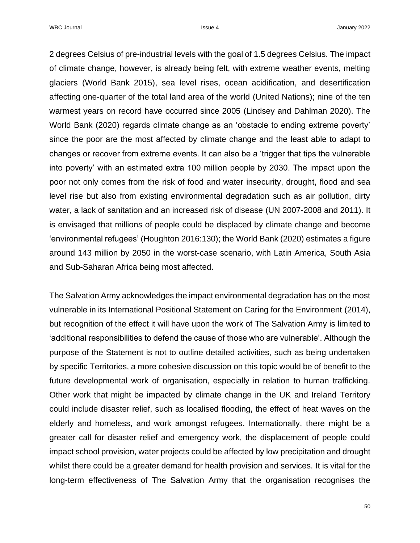2 degrees Celsius of pre-industrial levels with the goal of 1.5 degrees Celsius. The impact of climate change, however, is already being felt, with extreme weather events, melting glaciers (World Bank 2015), sea level rises, ocean acidification, and desertification affecting one-quarter of the total land area of the world (United Nations); nine of the ten warmest years on record have occurred since 2005 (Lindsey and Dahlman 2020). The World Bank (2020) regards climate change as an 'obstacle to ending extreme poverty' since the poor are the most affected by climate change and the least able to adapt to changes or recover from extreme events. It can also be a 'trigger that tips the vulnerable into poverty' with an estimated extra 100 million people by 2030. The impact upon the poor not only comes from the risk of food and water insecurity, drought, flood and sea level rise but also from existing environmental degradation such as air pollution, dirty water, a lack of sanitation and an increased risk of disease (UN 2007-2008 and 2011). It is envisaged that millions of people could be displaced by climate change and become 'environmental refugees' (Houghton 2016:130); the World Bank (2020) estimates a figure around 143 million by 2050 in the worst-case scenario, with Latin America, South Asia and Sub-Saharan Africa being most affected.

The Salvation Army acknowledges the impact environmental degradation has on the most vulnerable in its International Positional Statement on Caring for the Environment (2014), but recognition of the effect it will have upon the work of The Salvation Army is limited to 'additional responsibilities to defend the cause of those who are vulnerable'. Although the purpose of the Statement is not to outline detailed activities, such as being undertaken by specific Territories, a more cohesive discussion on this topic would be of benefit to the future developmental work of organisation, especially in relation to human trafficking. Other work that might be impacted by climate change in the UK and Ireland Territory could include disaster relief, such as localised flooding, the effect of heat waves on the elderly and homeless, and work amongst refugees. Internationally, there might be a greater call for disaster relief and emergency work, the displacement of people could impact school provision, water projects could be affected by low precipitation and drought whilst there could be a greater demand for health provision and services. It is vital for the long-term effectiveness of The Salvation Army that the organisation recognises the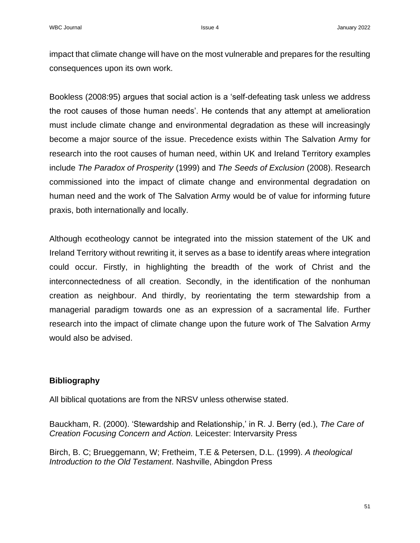impact that climate change will have on the most vulnerable and prepares for the resulting consequences upon its own work.

Bookless (2008:95) argues that social action is a 'self-defeating task unless we address the root causes of those human needs'. He contends that any attempt at amelioration must include climate change and environmental degradation as these will increasingly become a major source of the issue. Precedence exists within The Salvation Army for research into the root causes of human need, within UK and Ireland Territory examples include *The Paradox of Prosperity* (1999) and *The Seeds of Exclusion* (2008). Research commissioned into the impact of climate change and environmental degradation on human need and the work of The Salvation Army would be of value for informing future praxis, both internationally and locally.

Although ecotheology cannot be integrated into the mission statement of the UK and Ireland Territory without rewriting it, it serves as a base to identify areas where integration could occur. Firstly, in highlighting the breadth of the work of Christ and the interconnectedness of all creation. Secondly, in the identification of the nonhuman creation as neighbour. And thirdly, by reorientating the term stewardship from a managerial paradigm towards one as an expression of a sacramental life. Further research into the impact of climate change upon the future work of The Salvation Army would also be advised.

# **Bibliography**

All biblical quotations are from the NRSV unless otherwise stated.

Bauckham, R. (2000). 'Stewardship and Relationship,' in R. J. Berry (ed.), *The Care of Creation Focusing Concern and Action.* Leicester: Intervarsity Press

Birch, B. C; Brueggemann, W; Fretheim, T.E & Petersen, D.L. (1999). *A theological Introduction to the Old Testament*. Nashville, Abingdon Press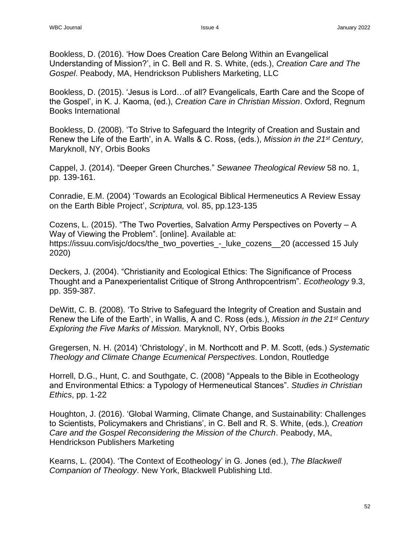Bookless, D. (2016). 'How Does Creation Care Belong Within an Evangelical Understanding of Mission?', in C. Bell and R. S. White, (eds.), *Creation Care and The Gospel*. Peabody, MA, Hendrickson Publishers Marketing, LLC

Bookless, D. (2015). 'Jesus is Lord…of all? Evangelicals, Earth Care and the Scope of the Gospel', in K. J. Kaoma, (ed.), *Creation Care in Christian Mission*. Oxford, Regnum Books International

Bookless, D. (2008). 'To Strive to Safeguard the Integrity of Creation and Sustain and Renew the Life of the Earth', in A. Walls & C. Ross, (eds.), *Mission in the 21st Century*, Maryknoll, NY, Orbis Books

Cappel, J. (2014). "Deeper Green Churches." *Sewanee Theological Review* 58 no. 1, pp. 139-161.

Conradie, E.M. (2004) 'Towards an Ecological Biblical Hermeneutics A Review Essay on the Earth Bible Project', *Scriptura,* vol. 85, pp.123-135

Cozens, L. (2015). "The Two Poverties, Salvation Army Perspectives on Poverty – A Way of Viewing the Problem". [online]. Available at: [https://issuu.com/isjc/docs/the\\_two\\_poverties\\_-\\_luke\\_cozens\\_\\_20](https://issuu.com/isjc/docs/the_two_poverties_-_luke_cozens__20) (accessed 15 July 2020)

Deckers, J. (2004). "Christianity and Ecological Ethics: The Significance of Process Thought and a Panexperientalist Critique of Strong Anthropcentrism". *Ecotheology* 9.3, pp. 359-387.

DeWitt, C. B. (2008). 'To Strive to Safeguard the Integrity of Creation and Sustain and Renew the Life of the Earth', in Wallis, A and C. Ross (eds.), *Mission in the 21st Century Exploring the Five Marks of Mission.* Maryknoll, NY, Orbis Books

Gregersen, N. H. (2014) 'Christology', in M. Northcott and P. M. Scott, (eds.) *Systematic Theology and Climate Change Ecumenical Perspectives*. London, Routledge

Horrell, D.G., Hunt, C. and Southgate, C. (2008) "Appeals to the Bible in Ecotheology and Environmental Ethics: a Typology of Hermeneutical Stances". *Studies in Christian Ethics*, pp. 1-22

Houghton, J. (2016). 'Global Warming, Climate Change, and Sustainability: Challenges to Scientists, Policymakers and Christians', in C. Bell and R. S. White, (eds.), *Creation Care and the Gospel Reconsidering the Mission of the Church*. Peabody, MA, Hendrickson Publishers Marketing

Kearns, L. (2004). 'The Context of Ecotheology' in G. Jones (ed.), *The Blackwell Companion of Theology*. New York, Blackwell Publishing Ltd.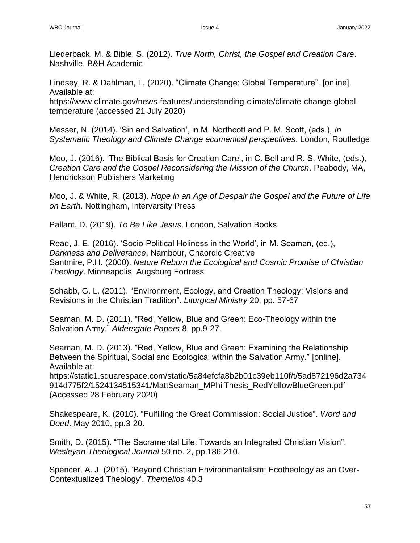Liederback, M. & Bible, S. (2012). *True North, Christ, the Gospel and Creation Care*. Nashville, B&H Academic

Lindsey, R. & Dahlman, L. (2020). "Climate Change: Global Temperature". [online]. Available at:

[https://www.climate.gov/news-features/understanding-climate/climate-change-global](https://www.climate.gov/news-features/understanding-climate/climate-change-global-temperature)[temperature](https://www.climate.gov/news-features/understanding-climate/climate-change-global-temperature) (accessed 21 July 2020)

Messer, N. (2014). 'Sin and Salvation', in M. Northcott and P. M. Scott, (eds.), *In Systematic Theology and Climate Change ecumenical perspectives*. London, Routledge

Moo, J. (2016). 'The Biblical Basis for Creation Care', in C. Bell and R. S. White, (eds.), *Creation Care and the Gospel Reconsidering the Mission of the Church*. Peabody, MA, Hendrickson Publishers Marketing

Moo, J. & White, R. (2013). *Hope in an Age of Despair the Gospel and the Future of Life on Earth*. Nottingham, Intervarsity Press

Pallant, D. (2019). *To Be Like Jesus*. London, Salvation Books

Read, J. E. (2016). 'Socio-Political Holiness in the World', in M. Seaman, (ed.), *Darkness and Deliverance*. Nambour, Chaordic Creative Santmire, P.H. (2000). *Nature Reborn the Ecological and Cosmic Promise of Christian Theology*. Minneapolis, Augsburg Fortress

Schabb, G. L. (2011). "Environment, Ecology, and Creation Theology: Visions and Revisions in the Christian Tradition". *Liturgical Ministry* 20, pp. 57-67

Seaman, M. D. (2011). "Red, Yellow, Blue and Green: Eco-Theology within the Salvation Army." *Aldersgate Papers* 8, pp.9-27.

Seaman, M. D. (2013). "Red, Yellow, Blue and Green: Examining the Relationship Between the Spiritual, Social and Ecological within the Salvation Army." [online]. Available at:

[https://static1.squarespace.com/static/5a84efcfa8b2b01c39eb110f/t/5ad872196d2a734](https://static1.squarespace.com/static/5a84efcfa8b2b01c39eb110f/t/5ad872196d2a734914d775f2/1524134515341/MattSeaman_MPhilThesis_RedYellowBlueGreen.pdf) [914d775f2/1524134515341/MattSeaman\\_MPhilThesis\\_RedYellowBlueGreen.pdf](https://static1.squarespace.com/static/5a84efcfa8b2b01c39eb110f/t/5ad872196d2a734914d775f2/1524134515341/MattSeaman_MPhilThesis_RedYellowBlueGreen.pdf) (Accessed 28 February 2020)

Shakespeare, K. (2010). "Fulfilling the Great Commission: Social Justice". *Word and Deed*. May 2010, pp.3-20.

Smith, D. (2015). "The Sacramental Life: Towards an Integrated Christian Vision". *Wesleyan Theological Journal* 50 no. 2, pp.186-210.

Spencer, A. J. (2015). 'Beyond Christian Environmentalism: Ecotheology as an Over-Contextualized Theology'. *Themelios* 40.3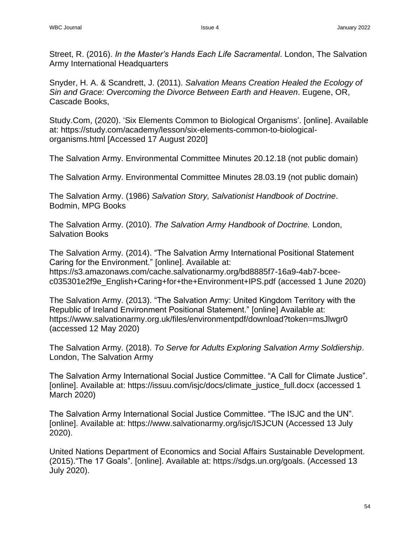Street, R. (2016). *In the Master's Hands Each Life Sacramental*. London, The Salvation Army International Headquarters

Snyder, H. A. & Scandrett, J. (2011). *Salvation Means Creation Healed the Ecology of Sin and Grace: Overcoming the Divorce Between Earth and Heaven*. Eugene, OR, Cascade Books,

Study.Com, (2020). 'Six Elements Common to Biological Organisms'. [online]. Available at: [https://study.com/academy/lesson/six-elements-common-to-biological](https://study.com/academy/lesson/six-elements-common-to-biological-organisms.html)[organisms.html](https://study.com/academy/lesson/six-elements-common-to-biological-organisms.html) [Accessed 17 August 2020]

The Salvation Army. Environmental Committee Minutes 20.12.18 (not public domain)

The Salvation Army. Environmental Committee Minutes 28.03.19 (not public domain)

The Salvation Army. (1986) *Salvation Story, Salvationist Handbook of Doctrine*. Bodmin, MPG Books

The Salvation Army. (2010). *The Salvation Army Handbook of Doctrine.* London, Salvation Books

The Salvation Army. (2014). "The Salvation Army International Positional Statement Caring for the Environment." [online]. Available at: [https://s3.amazonaws.com/cache.salvationarmy.org/bd8885f7-16a9-4ab7-bcee](https://s3.amazonaws.com/cache.salvationarmy.org/bd8885f7-16a9-4ab7-bcee-c035301e2f9e_English+Caring+for+the+Environment+IPS.pdf)[c035301e2f9e\\_English+Caring+for+the+Environment+IPS.pdf](https://s3.amazonaws.com/cache.salvationarmy.org/bd8885f7-16a9-4ab7-bcee-c035301e2f9e_English+Caring+for+the+Environment+IPS.pdf) (accessed 1 June 2020)

The Salvation Army. (2013). "The Salvation Army: United Kingdom Territory with the Republic of Ireland Environment Positional Statement." [online] Available at: <https://www.salvationarmy.org.uk/files/environmentpdf/download?token=msJlwgr0> (accessed 12 May 2020)

The Salvation Army. (2018). *To Serve for Adults Exploring Salvation Army Soldiership*. London, The Salvation Army

The Salvation Army International Social Justice Committee. "A Call for Climate Justice". [online]. Available at: [https://issuu.com/isjc/docs/climate\\_justice\\_full.docx](https://issuu.com/isjc/docs/climate_justice_full.docx) (accessed 1 March 2020)

The Salvation Army International Social Justice Committee. "The ISJC and the UN". [online]. Available at:<https://www.salvationarmy.org/isjc/ISJCUN> (Accessed 13 July 2020).

United Nations Department of Economics and Social Affairs Sustainable Development. (2015)."The 17 Goals". [online]. Available at: [https://sdgs.un.org/goals.](https://sdgs.un.org/goals) (Accessed 13 July 2020).